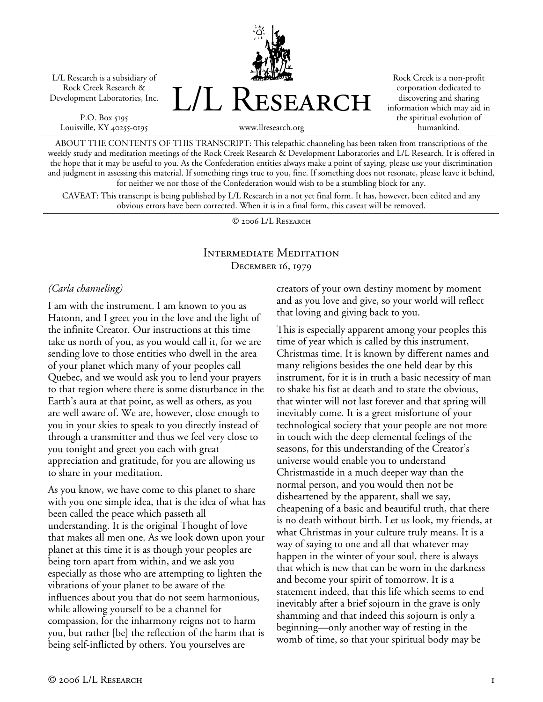L/L Research is a subsidiary of Rock Creek Research & Development Laboratories, Inc.

P.O. Box 5195 Louisville, KY 40255-0195 L/L Research

Rock Creek is a non-profit corporation dedicated to discovering and sharing information which may aid in the spiritual evolution of humankind.

www.llresearch.org

ABOUT THE CONTENTS OF THIS TRANSCRIPT: This telepathic channeling has been taken from transcriptions of the weekly study and meditation meetings of the Rock Creek Research & Development Laboratories and L/L Research. It is offered in the hope that it may be useful to you. As the Confederation entities always make a point of saying, please use your discrimination and judgment in assessing this material. If something rings true to you, fine. If something does not resonate, please leave it behind, for neither we nor those of the Confederation would wish to be a stumbling block for any.

CAVEAT: This transcript is being published by L/L Research in a not yet final form. It has, however, been edited and any obvious errors have been corrected. When it is in a final form, this caveat will be removed.

© 2006 L/L Research

## Intermediate Meditation December 16, 1979

#### *(Carla channeling)*

I am with the instrument. I am known to you as Hatonn, and I greet you in the love and the light of the infinite Creator. Our instructions at this time take us north of you, as you would call it, for we are sending love to those entities who dwell in the area of your planet which many of your peoples call Quebec, and we would ask you to lend your prayers to that region where there is some disturbance in the Earth's aura at that point, as well as others, as you are well aware of. We are, however, close enough to you in your skies to speak to you directly instead of through a transmitter and thus we feel very close to you tonight and greet you each with great appreciation and gratitude, for you are allowing us to share in your meditation.

As you know, we have come to this planet to share with you one simple idea, that is the idea of what has been called the peace which passeth all understanding. It is the original Thought of love that makes all men one. As we look down upon your planet at this time it is as though your peoples are being torn apart from within, and we ask you especially as those who are attempting to lighten the vibrations of your planet to be aware of the influences about you that do not seem harmonious, while allowing yourself to be a channel for compassion, for the inharmony reigns not to harm you, but rather [be] the reflection of the harm that is being self-inflicted by others. You yourselves are

creators of your own destiny moment by moment and as you love and give, so your world will reflect that loving and giving back to you.

This is especially apparent among your peoples this time of year which is called by this instrument, Christmas time. It is known by different names and many religions besides the one held dear by this instrument, for it is in truth a basic necessity of man to shake his fist at death and to state the obvious, that winter will not last forever and that spring will inevitably come. It is a greet misfortune of your technological society that your people are not more in touch with the deep elemental feelings of the seasons, for this understanding of the Creator's universe would enable you to understand Christmastide in a much deeper way than the normal person, and you would then not be disheartened by the apparent, shall we say, cheapening of a basic and beautiful truth, that there is no death without birth. Let us look, my friends, at what Christmas in your culture truly means. It is a way of saying to one and all that whatever may happen in the winter of your soul, there is always that which is new that can be worn in the darkness and become your spirit of tomorrow. It is a statement indeed, that this life which seems to end inevitably after a brief sojourn in the grave is only shamming and that indeed this sojourn is only a beginning—only another way of resting in the womb of time, so that your spiritual body may be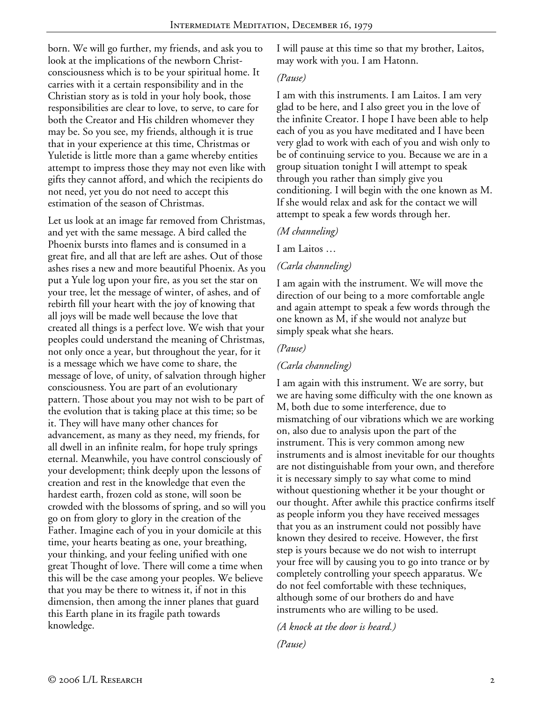born. We will go further, my friends, and ask you to look at the implications of the newborn Christconsciousness which is to be your spiritual home. It carries with it a certain responsibility and in the Christian story as is told in your holy book, those responsibilities are clear to love, to serve, to care for both the Creator and His children whomever they may be. So you see, my friends, although it is true that in your experience at this time, Christmas or Yuletide is little more than a game whereby entities attempt to impress those they may not even like with gifts they cannot afford, and which the recipients do not need, yet you do not need to accept this estimation of the season of Christmas.

Let us look at an image far removed from Christmas, and yet with the same message. A bird called the Phoenix bursts into flames and is consumed in a great fire, and all that are left are ashes. Out of those ashes rises a new and more beautiful Phoenix. As you put a Yule log upon your fire, as you set the star on your tree, let the message of winter, of ashes, and of rebirth fill your heart with the joy of knowing that all joys will be made well because the love that created all things is a perfect love. We wish that your peoples could understand the meaning of Christmas, not only once a year, but throughout the year, for it is a message which we have come to share, the message of love, of unity, of salvation through higher consciousness. You are part of an evolutionary pattern. Those about you may not wish to be part of the evolution that is taking place at this time; so be it. They will have many other chances for advancement, as many as they need, my friends, for all dwell in an infinite realm, for hope truly springs eternal. Meanwhile, you have control consciously of your development; think deeply upon the lessons of creation and rest in the knowledge that even the hardest earth, frozen cold as stone, will soon be crowded with the blossoms of spring, and so will you go on from glory to glory in the creation of the Father. Imagine each of you in your domicile at this time, your hearts beating as one, your breathing, your thinking, and your feeling unified with one great Thought of love. There will come a time when this will be the case among your peoples. We believe that you may be there to witness it, if not in this dimension, then among the inner planes that guard this Earth plane in its fragile path towards knowledge.

I will pause at this time so that my brother, Laitos, may work with you. I am Hatonn.

#### *(Pause)*

I am with this instruments. I am Laitos. I am very glad to be here, and I also greet you in the love of the infinite Creator. I hope I have been able to help each of you as you have meditated and I have been very glad to work with each of you and wish only to be of continuing service to you. Because we are in a group situation tonight I will attempt to speak through you rather than simply give you conditioning. I will begin with the one known as M. If she would relax and ask for the contact we will attempt to speak a few words through her.

## *(M channeling)*

I am Laitos …

# *(Carla channeling)*

I am again with the instrument. We will move the direction of our being to a more comfortable angle and again attempt to speak a few words through the one known as M, if she would not analyze but simply speak what she hears.

# *(Pause)*

# *(Carla channeling)*

I am again with this instrument. We are sorry, but we are having some difficulty with the one known as M, both due to some interference, due to mismatching of our vibrations which we are working on, also due to analysis upon the part of the instrument. This is very common among new instruments and is almost inevitable for our thoughts are not distinguishable from your own, and therefore it is necessary simply to say what come to mind without questioning whether it be your thought or our thought. After awhile this practice confirms itself as people inform you they have received messages that you as an instrument could not possibly have known they desired to receive. However, the first step is yours because we do not wish to interrupt your free will by causing you to go into trance or by completely controlling your speech apparatus. We do not feel comfortable with these techniques, although some of our brothers do and have instruments who are willing to be used.

*(A knock at the door is heard.) (Pause)*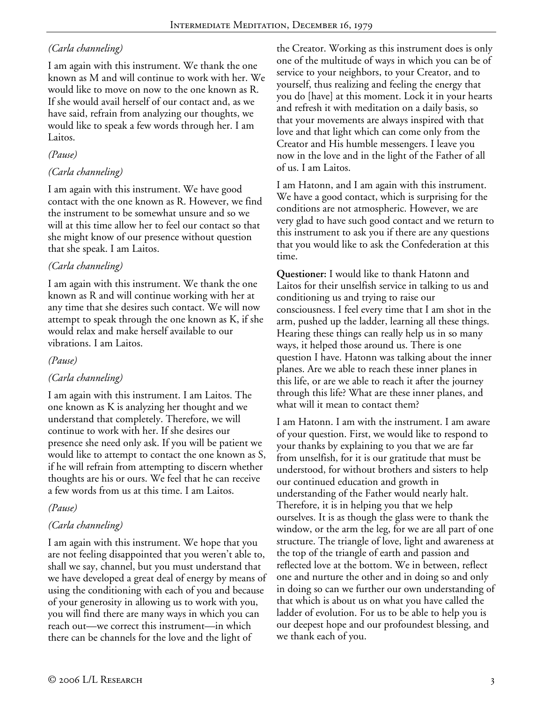# *(Carla channeling)*

I am again with this instrument. We thank the one known as M and will continue to work with her. We would like to move on now to the one known as R. If she would avail herself of our contact and, as we have said, refrain from analyzing our thoughts, we would like to speak a few words through her. I am Laitos.

## *(Pause)*

## *(Carla channeling)*

I am again with this instrument. We have good contact with the one known as R. However, we find the instrument to be somewhat unsure and so we will at this time allow her to feel our contact so that she might know of our presence without question that she speak. I am Laitos.

# *(Carla channeling)*

I am again with this instrument. We thank the one known as R and will continue working with her at any time that she desires such contact. We will now attempt to speak through the one known as K, if she would relax and make herself available to our vibrations. I am Laitos.

## *(Pause)*

# *(Carla channeling)*

I am again with this instrument. I am Laitos. The one known as K is analyzing her thought and we understand that completely. Therefore, we will continue to work with her. If she desires our presence she need only ask. If you will be patient we would like to attempt to contact the one known as S, if he will refrain from attempting to discern whether thoughts are his or ours. We feel that he can receive a few words from us at this time. I am Laitos.

## *(Pause)*

# *(Carla channeling)*

I am again with this instrument. We hope that you are not feeling disappointed that you weren't able to, shall we say, channel, but you must understand that we have developed a great deal of energy by means of using the conditioning with each of you and because of your generosity in allowing us to work with you, you will find there are many ways in which you can reach out—we correct this instrument—in which there can be channels for the love and the light of

the Creator. Working as this instrument does is only one of the multitude of ways in which you can be of service to your neighbors, to your Creator, and to yourself, thus realizing and feeling the energy that you do [have] at this moment. Lock it in your hearts and refresh it with meditation on a daily basis, so that your movements are always inspired with that love and that light which can come only from the Creator and His humble messengers. I leave you now in the love and in the light of the Father of all of us. I am Laitos.

I am Hatonn, and I am again with this instrument. We have a good contact, which is surprising for the conditions are not atmospheric. However, we are very glad to have such good contact and we return to this instrument to ask you if there are any questions that you would like to ask the Confederation at this time.

**Questioner:** I would like to thank Hatonn and Laitos for their unselfish service in talking to us and conditioning us and trying to raise our consciousness. I feel every time that I am shot in the arm, pushed up the ladder, learning all these things. Hearing these things can really help us in so many ways, it helped those around us. There is one question I have. Hatonn was talking about the inner planes. Are we able to reach these inner planes in this life, or are we able to reach it after the journey through this life? What are these inner planes, and what will it mean to contact them?

I am Hatonn. I am with the instrument. I am aware of your question. First, we would like to respond to your thanks by explaining to you that we are far from unselfish, for it is our gratitude that must be understood, for without brothers and sisters to help our continued education and growth in understanding of the Father would nearly halt. Therefore, it is in helping you that we help ourselves. It is as though the glass were to thank the window, or the arm the leg, for we are all part of one structure. The triangle of love, light and awareness at the top of the triangle of earth and passion and reflected love at the bottom. We in between, reflect one and nurture the other and in doing so and only in doing so can we further our own understanding of that which is about us on what you have called the ladder of evolution. For us to be able to help you is our deepest hope and our profoundest blessing, and we thank each of you.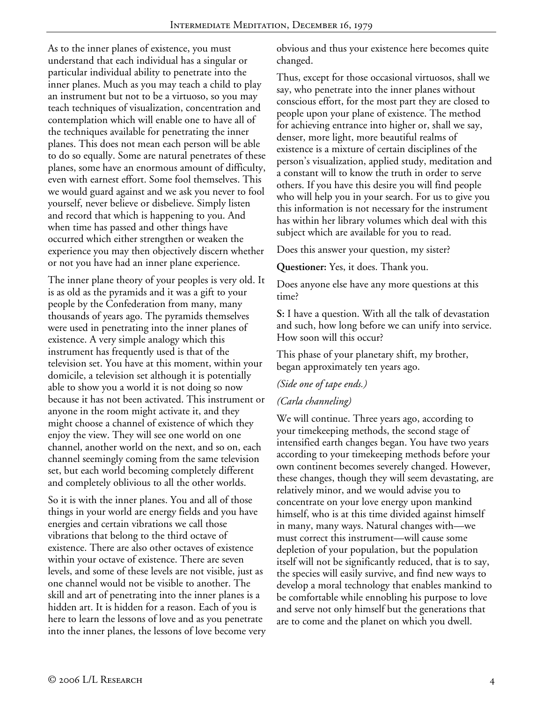As to the inner planes of existence, you must understand that each individual has a singular or particular individual ability to penetrate into the inner planes. Much as you may teach a child to play an instrument but not to be a virtuoso, so you may teach techniques of visualization, concentration and contemplation which will enable one to have all of the techniques available for penetrating the inner planes. This does not mean each person will be able to do so equally. Some are natural penetrates of these planes, some have an enormous amount of difficulty, even with earnest effort. Some fool themselves. This we would guard against and we ask you never to fool yourself, never believe or disbelieve. Simply listen and record that which is happening to you. And when time has passed and other things have occurred which either strengthen or weaken the experience you may then objectively discern whether or not you have had an inner plane experience.

The inner plane theory of your peoples is very old. It is as old as the pyramids and it was a gift to your people by the Confederation from many, many thousands of years ago. The pyramids themselves were used in penetrating into the inner planes of existence. A very simple analogy which this instrument has frequently used is that of the television set. You have at this moment, within your domicile, a television set although it is potentially able to show you a world it is not doing so now because it has not been activated. This instrument or anyone in the room might activate it, and they might choose a channel of existence of which they enjoy the view. They will see one world on one channel, another world on the next, and so on, each channel seemingly coming from the same television set, but each world becoming completely different and completely oblivious to all the other worlds.

So it is with the inner planes. You and all of those things in your world are energy fields and you have energies and certain vibrations we call those vibrations that belong to the third octave of existence. There are also other octaves of existence within your octave of existence. There are seven levels, and some of these levels are not visible, just as one channel would not be visible to another. The skill and art of penetrating into the inner planes is a hidden art. It is hidden for a reason. Each of you is here to learn the lessons of love and as you penetrate into the inner planes, the lessons of love become very obvious and thus your existence here becomes quite changed.

Thus, except for those occasional virtuosos, shall we say, who penetrate into the inner planes without conscious effort, for the most part they are closed to people upon your plane of existence. The method for achieving entrance into higher or, shall we say, denser, more light, more beautiful realms of existence is a mixture of certain disciplines of the person's visualization, applied study, meditation and a constant will to know the truth in order to serve others. If you have this desire you will find people who will help you in your search. For us to give you this information is not necessary for the instrument has within her library volumes which deal with this subject which are available for you to read.

Does this answer your question, my sister?

**Questioner:** Yes, it does. Thank you.

Does anyone else have any more questions at this time?

**S:** I have a question. With all the talk of devastation and such, how long before we can unify into service. How soon will this occur?

This phase of your planetary shift, my brother, began approximately ten years ago.

## *(Side one of tape ends.)*

## *(Carla channeling)*

We will continue. Three years ago, according to your timekeeping methods, the second stage of intensified earth changes began. You have two years according to your timekeeping methods before your own continent becomes severely changed. However, these changes, though they will seem devastating, are relatively minor, and we would advise you to concentrate on your love energy upon mankind himself, who is at this time divided against himself in many, many ways. Natural changes with—we must correct this instrument—will cause some depletion of your population, but the population itself will not be significantly reduced, that is to say, the species will easily survive, and find new ways to develop a moral technology that enables mankind to be comfortable while ennobling his purpose to love and serve not only himself but the generations that are to come and the planet on which you dwell.